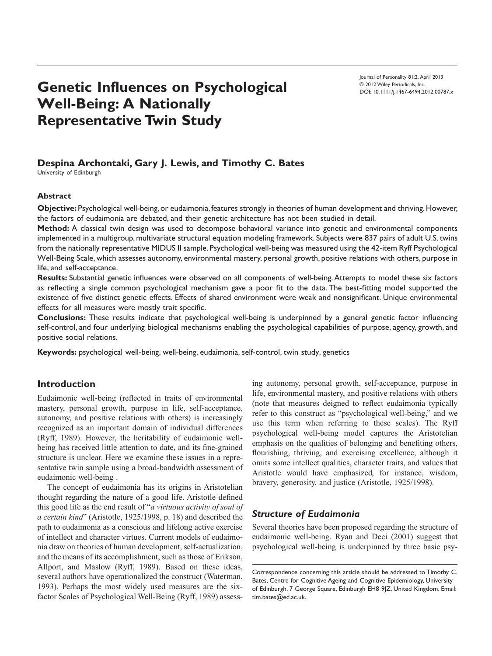Journal of Personality 81:2, April 2013 © 2012 Wiley Periodicals, Inc. DOI: 10.1111/j.1467-6494.2012.00787.x

# **Genetic Influences on Psychological Well-Being: A Nationally Representative Twin Study**

# **Despina Archontaki, Gary J. Lewis, and Timothy C. Bates**

University of Edinburgh

#### **Abstract**

**Objective:** Psychological well-being, or eudaimonia, features strongly in theories of human development and thriving. However, the factors of eudaimonia are debated, and their genetic architecture has not been studied in detail.

**Method:** A classical twin design was used to decompose behavioral variance into genetic and environmental components implemented in a multigroup, multivariate structural equation modeling framework. Subjects were 837 pairs of adult U.S. twins from the nationally representative MIDUS II sample. Psychological well-being was measured using the 42-item Ryff Psychological Well-Being Scale, which assesses autonomy, environmental mastery, personal growth, positive relations with others, purpose in life, and self-acceptance.

**Results:** Substantial genetic influences were observed on all components of well-being.Attempts to model these six factors as reflecting a single common psychological mechanism gave a poor fit to the data. The best-fitting model supported the existence of five distinct genetic effects. Effects of shared environment were weak and nonsignificant. Unique environmental effects for all measures were mostly trait specific.

**Conclusions:** These results indicate that psychological well-being is underpinned by a general genetic factor influencing self-control, and four underlying biological mechanisms enabling the psychological capabilities of purpose, agency, growth, and positive social relations.

**Keywords:** psychological well-being, well-being, eudaimonia, self-control, twin study, genetics

## **Introduction**

Eudaimonic well-being (reflected in traits of environmental mastery, personal growth, purpose in life, self-acceptance, autonomy, and positive relations with others) is increasingly recognized as an important domain of individual differences (Ryff, 1989). However, the heritability of eudaimonic wellbeing has received little attention to date, and its fine-grained structure is unclear. Here we examine these issues in a representative twin sample using a broad-bandwidth assessment of eudaimonic well-being .

The concept of eudaimonia has its origins in Aristotelian thought regarding the nature of a good life. Aristotle defined this good life as the end result of "*a virtuous activity of soul of a certain kind*" (Aristotle, 1925/1998, p. 18) and described the path to eudaimonia as a conscious and lifelong active exercise of intellect and character virtues. Current models of eudaimonia draw on theories of human development, self-actualization, and the means of its accomplishment, such as those of Erikson, Allport, and Maslow (Ryff, 1989). Based on these ideas, several authors have operationalized the construct (Waterman, 1993). Perhaps the most widely used measures are the sixfactor Scales of Psychological Well-Being (Ryff, 1989) assess-

ing autonomy, personal growth, self-acceptance, purpose in life, environmental mastery, and positive relations with others (note that measures deigned to reflect eudaimonia typically refer to this construct as "psychological well-being," and we use this term when referring to these scales). The Ryff psychological well-being model captures the Aristotelian emphasis on the qualities of belonging and benefiting others, flourishing, thriving, and exercising excellence, although it omits some intellect qualities, character traits, and values that Aristotle would have emphasized, for instance, wisdom, bravery, generosity, and justice (Aristotle, 1925/1998).

# *Structure of Eudaimonia*

Several theories have been proposed regarding the structure of eudaimonic well-being. Ryan and Deci (2001) suggest that psychological well-being is underpinned by three basic psy-

Correspondence concerning this article should be addressed to Timothy C. Bates, Centre for Cognitive Ageing and Cognitive Epidemiology, University of Edinburgh, 7 George Square, Edinburgh EH8 9JZ, United Kingdom. Email: tim.bates@ed.ac.uk.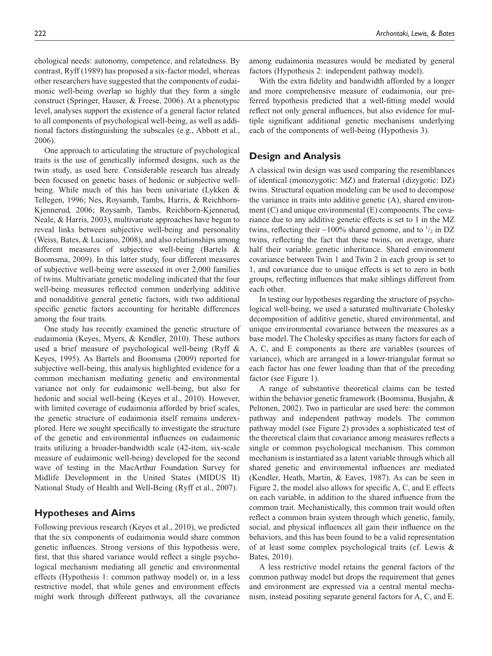chological needs: autonomy, competence, and relatedness. By contrast, Ryff (1989) has proposed a six-factor model, whereas other researchers have suggested that the components of eudaimonic well-being overlap so highly that they form a single construct (Springer, Hauser, & Freese, 2006). At a phenotypic level, analyses support the existence of a general factor related to all components of psychological well-being, as well as additional factors distinguishing the subscales (e.g., Abbott et al., 2006).

One approach to articulating the structure of psychological traits is the use of genetically informed designs, such as the twin study, as used here. Considerable research has already been focused on genetic bases of hedonic or subjective wellbeing. While much of this has been univariate (Lykken & Tellegen, 1996; Nes, Roysamb, Tambs, Harris, & Reichborn-Kjennerud, 2006; Roysamb, Tambs, Reichborn-Kjennerud, Neale, & Harris, 2003), multivariate approaches have begun to reveal links between subjective well-being and personality (Weiss, Bates, & Luciano, 2008), and also relationships among different measures of subjective well-being (Bartels & Boomsma, 2009). In this latter study, four different measures of subjective well-being were assessed in over 2,000 families of twins. Multivariate genetic modeling indicated that the four well-being measures reflected common underlying additive and nonadditive general genetic factors, with two additional specific genetic factors accounting for heritable differences among the four traits.

One study has recently examined the genetic structure of eudaimonia (Keyes, Myers, & Kendler, 2010). These authors used a brief measure of psychological well-being (Ryff & Keyes, 1995). As Bartels and Boomsma (2009) reported for subjective well-being, this analysis highlighted evidence for a common mechanism mediating genetic and environmental variance not only for eudaimonic well-being, but also for hedonic and social well-being (Keyes et al., 2010). However, with limited coverage of eudaimonia afforded by brief scales, the genetic structure of eudaimonia itself remains underexplored. Here we sought specifically to investigate the structure of the genetic and environmental influences on eudaimonic traits utilizing a broader-bandwidth scale (42-item, six-scale measure of eudaimonic well-being) developed for the second wave of testing in the MacArthur Foundation Survey for Midlife Development in the United States (MIDUS II) National Study of Health and Well-Being (Ryff et al., 2007).

## **Hypotheses and Aims**

Following previous research (Keyes et al., 2010), we predicted that the six components of eudaimonia would share common genetic influences. Strong versions of this hypothesis were, first, that this shared variance would reflect a single psychological mechanism mediating all genetic and environmental effects (Hypothesis 1: common pathway model) or, in a less restrictive model, that while genes and environment effects might work through different pathways, all the covariance

among eudaimonia measures would be mediated by general factors (Hypothesis 2: independent pathway model).

With the extra fidelity and bandwidth afforded by a longer and more comprehensive measure of eudaimonia, our preferred hypothesis predicted that a well-fitting model would reflect not only general influences, but also evidence for multiple significant additional genetic mechanisms underlying each of the components of well-being (Hypothesis 3).

## **Design and Analysis**

A classical twin design was used comparing the resemblances of identical (monozygotic: MZ) and fraternal (dizygotic: DZ) twins. Structural equation modeling can be used to decompose the variance in traits into additive genetic (A), shared environment (C) and unique environmental (E) components. The covariance due to any additive genetic effects is set to 1 in the MZ twins, reflecting their  $\sim$ 100% shared genome, and to  $\frac{1}{2}$  in DZ twins, reflecting the fact that these twins, on average, share half their variable genetic inheritance. Shared environment covariance between Twin 1 and Twin 2 in each group is set to 1, and covariance due to unique effects is set to zero in both groups, reflecting influences that make siblings different from each other.

In testing our hypotheses regarding the structure of psychological well-being, we used a saturated multivariate Cholesky decomposition of additive genetic, shared environmental, and unique environmental covariance between the measures as a base model. The Cholesky specifies as many factors for each of A, C, and E components as there are variables (sources of variance), which are arranged in a lower-triangular format so each factor has one fewer loading than that of the preceding factor (see Figure 1).

A range of substantive theoretical claims can be tested within the behavior genetic framework (Boomsma, Busjahn, & Peltonen, 2002). Two in particular are used here: the common pathway and independent pathway models. The common pathway model (see Figure 2) provides a sophisticated test of the theoretical claim that covariance among measures reflects a single or common psychological mechanism. This common mechanism is instantiated as a latent variable through which all shared genetic and environmental influences are mediated (Kendler, Heath, Martin, & Eaves, 1987). As can be seen in Figure 2, the model also allows for specific A, C, and E effects on each variable, in addition to the shared influence from the common trait. Mechanistically, this common trait would often reflect a common brain system through which genetic, family, social, and physical influences all gain their influence on the behaviors, and this has been found to be a valid representation of at least some complex psychological traits (cf. Lewis & Bates, 2010).

A less restrictive model retains the general factors of the common pathway model but drops the requirement that genes and environment are expressed via a central mental mechanism, instead positing separate general factors for A, C, and E.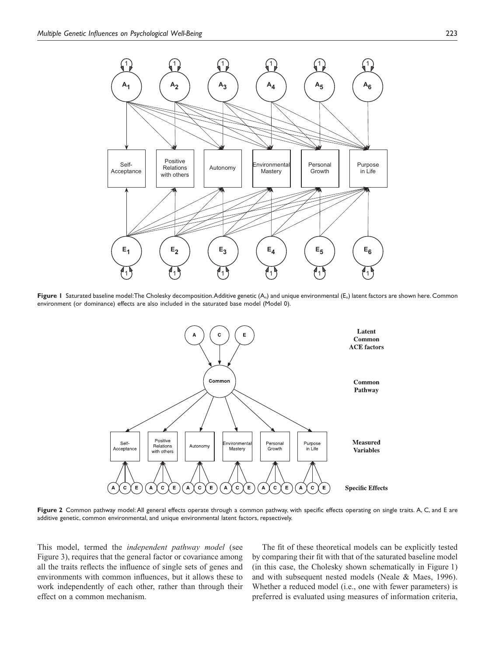

Figure 1 Saturated baseline model:The Cholesky decomposition.Additive genetic (A<sub>n</sub>) and unique environmental (E<sub>n</sub>) latent factors are shown here. Common environment (or dominance) effects are also included in the saturated base model (Model 0).



**Figure 2** Common pathway model: All general effects operate through a common pathway, with specific effects operating on single traits. A, C, and E are additive genetic, common environmental, and unique environmental latent factors, repsectively.

This model, termed the *independent pathway model* (see Figure 3), requires that the general factor or covariance among all the traits reflects the influence of single sets of genes and environments with common influences, but it allows these to work independently of each other, rather than through their effect on a common mechanism.

The fit of these theoretical models can be explicitly tested by comparing their fit with that of the saturated baseline model (in this case, the Cholesky shown schematically in Figure 1) and with subsequent nested models (Neale & Maes, 1996). Whether a reduced model (i.e., one with fewer parameters) is preferred is evaluated using measures of information criteria,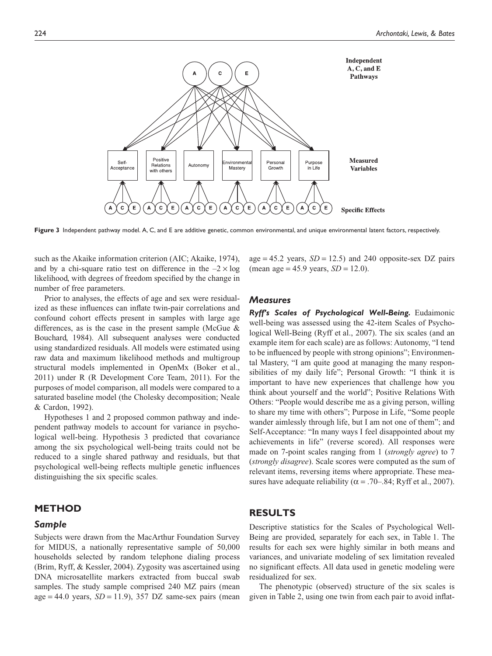

Figure 3 Independent pathway model. A, C, and E are additive genetic, common environmental, and unique environmental latent factors, respectively.

such as the Akaike information criterion (AIC; Akaike, 1974), and by a chi-square ratio test on difference in the  $-2 \times \log$ likelihood, with degrees of freedom specified by the change in number of free parameters.

Prior to analyses, the effects of age and sex were residualized as these influences can inflate twin-pair correlations and confound cohort effects present in samples with large age differences, as is the case in the present sample (McGue  $\&$ Bouchard, 1984). All subsequent analyses were conducted using standardized residuals. All models were estimated using raw data and maximum likelihood methods and multigroup structural models implemented in OpenMx (Boker et al., 2011) under R (R Development Core Team, 2011). For the purposes of model comparison, all models were compared to a saturated baseline model (the Cholesky decomposition; Neale & Cardon, 1992).

Hypotheses 1 and 2 proposed common pathway and independent pathway models to account for variance in psychological well-being. Hypothesis 3 predicted that covariance among the six psychological well-being traits could not be reduced to a single shared pathway and residuals, but that psychological well-being reflects multiple genetic influences distinguishing the six specific scales.

# **METHOD**

#### *Sample*

Subjects were drawn from the MacArthur Foundation Survey for MIDUS, a nationally representative sample of 50,000 households selected by random telephone dialing process (Brim, Ryff, & Kessler, 2004). Zygosity was ascertained using DNA microsatellite markers extracted from buccal swab samples. The study sample comprised 240 MZ pairs (mean age = 44.0 years,  $SD = 11.9$ ), 357 DZ same-sex pairs (mean age  $= 45.2$  years,  $SD = 12.5$ ) and 240 opposite-sex DZ pairs (mean age = 45.9 years,  $SD = 12.0$ ).

## *Measures*

*Ryff's Scales of Psychological Well-Being.* Eudaimonic well-being was assessed using the 42-item Scales of Psychological Well-Being (Ryff et al., 2007). The six scales (and an example item for each scale) are as follows: Autonomy, "I tend to be influenced by people with strong opinions"; Environmental Mastery, "I am quite good at managing the many responsibilities of my daily life"; Personal Growth: "I think it is important to have new experiences that challenge how you think about yourself and the world"; Positive Relations With Others: "People would describe me as a giving person, willing to share my time with others"; Purpose in Life, "Some people wander aimlessly through life, but I am not one of them"; and Self-Acceptance: "In many ways I feel disappointed about my achievements in life" (reverse scored). All responses were made on 7-point scales ranging from 1 (*strongly agree*) to 7 (*strongly disagree*). Scale scores were computed as the sum of relevant items, reversing items where appropriate. These measures have adequate reliability ( $\alpha$  = .70–.84; Ryff et al., 2007).

## **RESULTS**

Descriptive statistics for the Scales of Psychological Well-Being are provided, separately for each sex, in Table 1. The results for each sex were highly similar in both means and variances, and univariate modeling of sex limitation revealed no significant effects. All data used in genetic modeling were residualized for sex.

The phenotypic (observed) structure of the six scales is given in Table 2, using one twin from each pair to avoid inflat-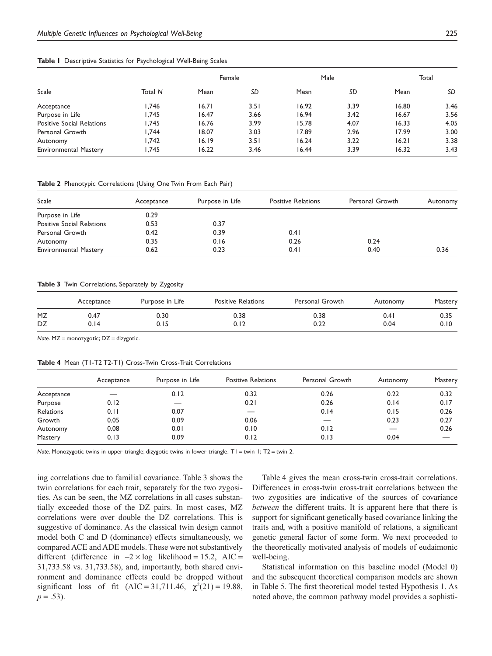|  | Table I Descriptive Statistics for Psychological Well-Being Scales |  |  |  |  |  |
|--|--------------------------------------------------------------------|--|--|--|--|--|
|--|--------------------------------------------------------------------|--|--|--|--|--|

|                                  |         | Female |      | Male  |      | Total |           |  |
|----------------------------------|---------|--------|------|-------|------|-------|-----------|--|
| <b>Scale</b>                     | Total N | Mean   | SD   | Mean  | SD   | Mean  | <b>SD</b> |  |
| Acceptance                       | 1.746   | 16.71  | 3.51 | 16.92 | 3.39 | 16.80 | 3.46      |  |
| Purpose in Life                  | 1.745   | 16.47  | 3.66 | 16.94 | 3.42 | 16.67 | 3.56      |  |
| <b>Positive Social Relations</b> | 1.745   | 16.76  | 3.99 | 15.78 | 4.07 | 16.33 | 4.05      |  |
| Personal Growth                  | 1.744   | 18.07  | 3.03 | 17.89 | 2.96 | 17.99 | 3.00      |  |
| Autonomy                         | 1.742   | 16.19  | 3.51 | 16.24 | 3.22 | 16.21 | 3.38      |  |
| <b>Environmental Mastery</b>     | 1.745   | 16.22  | 3.46 | 16.44 | 3.39 | 16.32 | 3.43      |  |

**Table 2** Phenotypic Correlations (Using One Twin From Each Pair)

| Scale                            | Acceptance | Purpose in Life | <b>Positive Relations</b> | Personal Growth | Autonomy |
|----------------------------------|------------|-----------------|---------------------------|-----------------|----------|
| Purpose in Life                  | 0.29       |                 |                           |                 |          |
| <b>Positive Social Relations</b> | 0.53       | 0.37            |                           |                 |          |
| Personal Growth                  | 0.42       | 0.39            | 0.4 I                     |                 |          |
| Autonomy                         | 0.35       | 0.16            | 0.26                      | 0.24            |          |
| <b>Environmental Mastery</b>     | 0.62       | 0.23            | 0.41                      | 0.40            | 0.36     |

#### **Table 3** Twin Correlations, Separately by Zygosity

|    | Acceptance | Purpose in Life | <b>Positive Relations</b> | Personal Growth | Autonomy | Mastery |
|----|------------|-----------------|---------------------------|-----------------|----------|---------|
| MZ | 0.47       | 0.30            | 0.38                      | 0.38            | 0.4      | 0.35    |
| DZ | 0.14       | 0.15            | 0.12                      | 0.22            | 0.04     | 0.10    |

*Note*. MZ = monozygotic; DZ = dizygotic.

**Table 4** Mean (T1-T2 T2-T1) Cross-Twin Cross-Trait Correlations

|            | Acceptance | Purpose in Life | <b>Positive Relations</b> | Personal Growth | Autonomy | Mastery |
|------------|------------|-----------------|---------------------------|-----------------|----------|---------|
| Acceptance |            | 0.12            | 0.32                      | 0.26            | 0.22     | 0.32    |
| Purpose    | 0.12       |                 | 0.21                      | 0.26            | 0.14     | 0.17    |
| Relations  | 0.11       | 0.07            |                           | 0.14            | 0.15     | 0.26    |
| Growth     | 0.05       | 0.09            | 0.06                      |                 | 0.23     | 0.27    |
| Autonomy   | 0.08       | 0.01            | 0.10                      | 0.12            |          | 0.26    |
| Mastery    | 0.13       | 0.09            | 0.12                      | 0.13            | 0.04     |         |

*Note*. Monozygotic twins in upper triangle; dizygotic twins in lower triangle. TI = twin 1; T2 = twin 2.

ing correlations due to familial covariance. Table 3 shows the twin correlations for each trait, separately for the two zygosities. As can be seen, the MZ correlations in all cases substantially exceeded those of the DZ pairs. In most cases, MZ correlations were over double the DZ correlations. This is suggestive of dominance. As the classical twin design cannot model both C and D (dominance) effects simultaneously, we compared ACE and ADE models. These were not substantively different (difference in  $-2 \times \log$  likelihood = 15.2, AIC = 31,733.58 vs. 31,733.58), and, importantly, both shared environment and dominance effects could be dropped without significant loss of fit  $(AIC = 31,711.46, \chi^2(21) = 19.88,$  $p = .53$ ).

Table 4 gives the mean cross-twin cross-trait correlations. Differences in cross-twin cross-trait correlations between the two zygosities are indicative of the sources of covariance *between* the different traits. It is apparent here that there is support for significant genetically based covariance linking the traits and, with a positive manifold of relations, a significant genetic general factor of some form. We next proceeded to the theoretically motivated analysis of models of eudaimonic well-being.

Statistical information on this baseline model (Model 0) and the subsequent theoretical comparison models are shown in Table 5. The first theoretical model tested Hypothesis 1. As noted above, the common pathway model provides a sophisti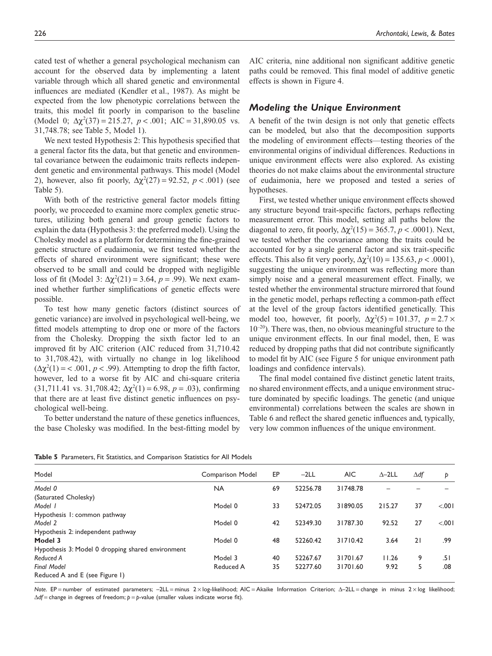cated test of whether a general psychological mechanism can account for the observed data by implementing a latent variable through which all shared genetic and environmental influences are mediated (Kendler et al., 1987). As might be expected from the low phenotypic correlations between the traits, this model fit poorly in comparison to the baseline (Model 0;  $\Delta \chi^2(37) = 215.27$ ,  $p < .001$ ; AIC = 31,890.05 vs. 31,748.78; see Table 5, Model 1).

We next tested Hypothesis 2: This hypothesis specified that a general factor fits the data, but that genetic and environmental covariance between the eudaimonic traits reflects independent genetic and environmental pathways. This model (Model 2), however, also fit poorly,  $\Delta \chi^2(27) = 92.52$ ,  $p < .001$ ) (see Table 5).

With both of the restrictive general factor models fitting poorly, we proceeded to examine more complex genetic structures, utilizing both general and group genetic factors to explain the data (Hypothesis 3: the preferred model). Using the Cholesky model as a platform for determining the fine-grained genetic structure of eudaimonia, we first tested whether the effects of shared environment were significant; these were observed to be small and could be dropped with negligible loss of fit (Model 3:  $\Delta \chi^2(21) = 3.64$ , *p* = .99). We next examined whether further simplifications of genetic effects were possible.

To test how many genetic factors (distinct sources of genetic variance) are involved in psychological well-being, we fitted models attempting to drop one or more of the factors from the Cholesky. Dropping the sixth factor led to an improved fit by AIC criterion (AIC reduced from 31,710.42 to 31,708.42), with virtually no change in log likelihood  $(\Delta \chi^2(1) = < .001, p < .99)$ . Attempting to drop the fifth factor, however, led to a worse fit by AIC and chi-square criteria  $(31,711.41 \text{ vs. } 31,708.42; \Delta \chi^2(1) = 6.98, p = .03)$ , confirming that there are at least five distinct genetic influences on psychological well-being.

To better understand the nature of these genetics influences, the base Cholesky was modified. In the best-fitting model by AIC criteria, nine additional non significant additive genetic paths could be removed. This final model of additive genetic effects is shown in Figure 4.

#### *Modeling the Unique Environment*

A benefit of the twin design is not only that genetic effects can be modeled, but also that the decomposition supports the modeling of environment effects—testing theories of the environmental origins of individual differences. Reductions in unique environment effects were also explored. As existing theories do not make claims about the environmental structure of eudaimonia, here we proposed and tested a series of hypotheses.

First, we tested whether unique environment effects showed any structure beyond trait-specific factors, perhaps reflecting measurement error. This model, setting all paths below the diagonal to zero, fit poorly,  $\Delta \chi^2(15) = 365.7$ ,  $p < .0001$ ). Next, we tested whether the covariance among the traits could be accounted for by a single general factor and six trait-specific effects. This also fit very poorly,  $\Delta \chi^2(10) = 135.63, p < .0001$ ), suggesting the unique environment was reflecting more than simply noise and a general measurement effect. Finally, we tested whether the environmental structure mirrored that found in the genetic model, perhaps reflecting a common-path effect at the level of the group factors identified genetically. This model too, however, fit poorly,  $\Delta \chi^2(5) = 101.37$ ,  $p = 2.7 \times$  $10^{-20}$ ). There was, then, no obvious meaningful structure to the unique environment effects. In our final model, then, E was reduced by dropping paths that did not contribute significantly to model fit by AIC (see Figure 5 for unique environment path loadings and confidence intervals).

The final model contained five distinct genetic latent traits, no shared environment effects, and a unique environment structure dominated by specific loadings. The genetic (and unique environmental) correlations between the scales are shown in Table 6 and reflect the shared genetic influences and, typically, very low common influences of the unique environment.

| EP<br><b>Comparison Model</b> | $-2LL$                                                       | <b>AIC</b> | $\Delta - 2LL$ |             |        |
|-------------------------------|--------------------------------------------------------------|------------|----------------|-------------|--------|
|                               |                                                              |            |                | $\Delta df$ | Þ      |
| 69                            | 52256.78                                                     | 31748.78   |                |             |        |
|                               |                                                              |            |                |             |        |
| 33                            | 52472.05                                                     | 31890.05   | 215.27         | 37          | < 0.01 |
|                               |                                                              |            |                |             |        |
| 42                            | 52349.30                                                     | 31787.30   | 92.52          | 27          | < .001 |
|                               |                                                              |            |                |             |        |
| 48                            | 52260.42                                                     | 31710.42   | 3.64           | 21          | .99    |
|                               |                                                              |            |                |             |        |
| 40                            | 52267.67                                                     | 31701.67   | 11.26          | 9           | .51    |
| 35                            | 52277.60                                                     | 31701.60   | 9.92           | 5           | .08    |
|                               |                                                              |            |                |             |        |
|                               | Model 0<br>Model 0<br>Model 0<br>Model 3<br><b>Reduced A</b> |            |                |             |        |

Note. EP = number of estimated parameters; -2LL = minus 2 × log-likelihood; AIC = Akaike Information Criterion; Δ-2LL = change in minus 2 × log likelihood;  $\Delta df$  = change in degrees of freedom;  $p = p$ -value (smaller values indicate worse fit).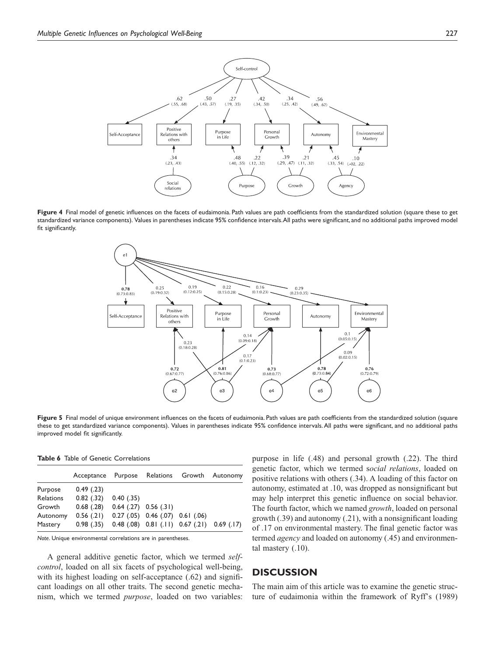

Figure 4 Final model of genetic influences on the facets of eudaimonia. Path values are path coefficients from the standardized solution (square these to get standardized variance components). Values in parentheses indicate 95% confidence intervals.All paths were significant, and no additional paths improved model fit significantly.



Figure 5 Final model of unique environment influences on the facets of eudaimonia. Path values are path coefficients from the standardized solution (square these to get standardized variance components). Values in parentheses indicate 95% confidence intervals. All paths were significant, and no additional paths improved model fit significantly.

#### **Table 6** Table of Genetic Correlations

|           | Acceptance     | Purpose    | Relations Growth                       | Autonomy     |
|-----------|----------------|------------|----------------------------------------|--------------|
| Purpose   | 0.49(0.23)     |            |                                        |              |
| Relations | $0.82$ $(.32)$ | 0.40(0.35) |                                        |              |
| Growth    | $0.68$ $(.28)$ |            | $0.64$ (.27) $0.56$ (.31)              |              |
| Autonomy  | $0.56$ (.21)   |            | 0.27 (.05) 0.46 (.07) 0.61 (.06)       |              |
| Mastery   | 0.98(.35)      |            | $0.48$ (.08) $0.81$ (.11) $0.67$ (.21) | $0.69$ (.17) |

*Note*. Unique environmental correlations are in parentheses.

A general additive genetic factor, which we termed *selfcontrol*, loaded on all six facets of psychological well-being, with its highest loading on self-acceptance (.62) and significant loadings on all other traits. The second genetic mechanism, which we termed *purpose*, loaded on two variables: purpose in life (.48) and personal growth (.22). The third genetic factor, which we termed s*ocial relations*, loaded on positive relations with others (.34). A loading of this factor on autonomy, estimated at .10, was dropped as nonsignificant but may help interpret this genetic influence on social behavior. The fourth factor, which we named *growth*, loaded on personal growth (.39) and autonomy (.21), with a nonsignificant loading of .17 on environmental mastery. The final genetic factor was termed *agency* and loaded on autonomy (.45) and environmental mastery (.10).

## **DISCUSSION**

The main aim of this article was to examine the genetic structure of eudaimonia within the framework of Ryff's (1989)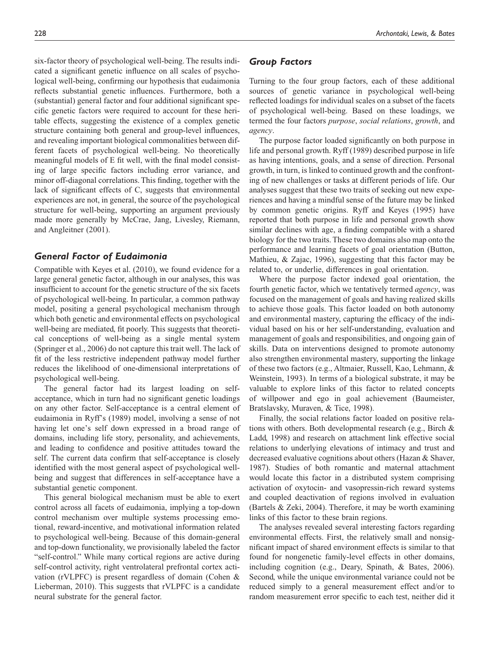six-factor theory of psychological well-being. The results indicated a significant genetic influence on all scales of psychological well-being, confirming our hypothesis that eudaimonia reflects substantial genetic influences. Furthermore, both a (substantial) general factor and four additional significant specific genetic factors were required to account for these heritable effects, suggesting the existence of a complex genetic structure containing both general and group-level influences, and revealing important biological commonalities between different facets of psychological well-being. No theoretically meaningful models of E fit well, with the final model consisting of large specific factors including error variance, and minor off-diagonal correlations. This finding, together with the lack of significant effects of C, suggests that environmental experiences are not, in general, the source of the psychological structure for well-being, supporting an argument previously made more generally by McCrae, Jang, Livesley, Riemann, and Angleitner (2001).

## *General Factor of Eudaimonia*

Compatible with Keyes et al. (2010), we found evidence for a large general genetic factor, although in our analyses, this was insufficient to account for the genetic structure of the six facets of psychological well-being. In particular, a common pathway model, positing a general psychological mechanism through which both genetic and environmental effects on psychological well-being are mediated, fit poorly. This suggests that theoretical conceptions of well-being as a single mental system (Springer et al., 2006) do not capture this trait well. The lack of fit of the less restrictive independent pathway model further reduces the likelihood of one-dimensional interpretations of psychological well-being.

The general factor had its largest loading on selfacceptance, which in turn had no significant genetic loadings on any other factor. Self-acceptance is a central element of eudaimonia in Ryff's (1989) model, involving a sense of not having let one's self down expressed in a broad range of domains, including life story, personality, and achievements, and leading to confidence and positive attitudes toward the self. The current data confirm that self-acceptance is closely identified with the most general aspect of psychological wellbeing and suggest that differences in self-acceptance have a substantial genetic component.

This general biological mechanism must be able to exert control across all facets of eudaimonia, implying a top-down control mechanism over multiple systems processing emotional, reward-incentive, and motivational information related to psychological well-being. Because of this domain-general and top-down functionality, we provisionally labeled the factor "self-control." While many cortical regions are active during self-control activity, right ventrolateral prefrontal cortex activation (rVLPFC) is present regardless of domain (Cohen & Lieberman, 2010). This suggests that rVLPFC is a candidate neural substrate for the general factor.

## *Group Factors*

Turning to the four group factors, each of these additional sources of genetic variance in psychological well-being reflected loadings for individual scales on a subset of the facets of psychological well-being. Based on these loadings, we termed the four factors *purpose*, *social relations*, *growth*, and *agency*.

The purpose factor loaded significantly on both purpose in life and personal growth. Ryff (1989) described purpose in life as having intentions, goals, and a sense of direction. Personal growth, in turn, is linked to continued growth and the confronting of new challenges or tasks at different periods of life. Our analyses suggest that these two traits of seeking out new experiences and having a mindful sense of the future may be linked by common genetic origins. Ryff and Keyes (1995) have reported that both purpose in life and personal growth show similar declines with age, a finding compatible with a shared biology for the two traits. These two domains also map onto the performance and learning facets of goal orientation (Button, Mathieu, & Zajac, 1996), suggesting that this factor may be related to, or underlie, differences in goal orientation.

Where the purpose factor indexed goal orientation, the fourth genetic factor, which we tentatively termed *agency*, was focused on the management of goals and having realized skills to achieve those goals. This factor loaded on both autonomy and environmental mastery, capturing the efficacy of the individual based on his or her self-understanding, evaluation and management of goals and responsibilities, and ongoing gain of skills. Data on interventions designed to promote autonomy also strengthen environmental mastery, supporting the linkage of these two factors (e.g., Altmaier, Russell, Kao, Lehmann, & Weinstein, 1993). In terms of a biological substrate, it may be valuable to explore links of this factor to related concepts of willpower and ego in goal achievement (Baumeister, Bratslavsky, Muraven, & Tice, 1998).

Finally, the social relations factor loaded on positive relations with others. Both developmental research (e.g., Birch & Ladd, 1998) and research on attachment link effective social relations to underlying elevations of intimacy and trust and decreased evaluative cognitions about others (Hazan & Shaver, 1987). Studies of both romantic and maternal attachment would locate this factor in a distributed system comprising activation of oxytocin- and vasopressin-rich reward systems and coupled deactivation of regions involved in evaluation (Bartels & Zeki, 2004). Therefore, it may be worth examining links of this factor to these brain regions.

The analyses revealed several interesting factors regarding environmental effects. First, the relatively small and nonsignificant impact of shared environment effects is similar to that found for nongenetic family-level effects in other domains, including cognition (e.g., Deary, Spinath, & Bates, 2006). Second, while the unique environmental variance could not be reduced simply to a general measurement effect and/or to random measurement error specific to each test, neither did it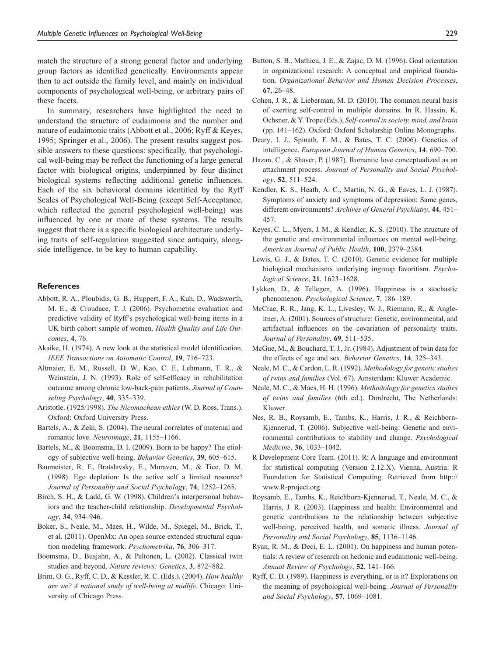match the structure of a strong general factor and underlying group factors as identified genetically. Environments appear then to act outside the family level, and mainly on individual components of psychological well-being, or arbitrary pairs of these facets.

In summary, researchers have highlighted the need to understand the structure of eudaimonia and the number and nature of eudaimonic traits (Abbott et al., 2006; Ryff & Keyes, 1995; Springer et al., 2006). The present results suggest possible answers to these questions: specifically, that psychological well-being may be reflect the functioning of a large general factor with biological origins, underpinned by four distinct biological systems reflecting additional genetic influences. Each of the six behavioral domains identified by the Ryff Scales of Psychological Well-Being (except Self-Acceptance, which reflected the general psychological well-being) was influenced by one or more of these systems. The results suggest that there is a specific biological architecture underlying traits of self-regulation suggested since antiquity, alongside intelligence, to be key to human capability.

#### **References**

- Abbott, R. A., Ploubidis, G. B., Huppert, F. A., Kuh, D., Wadsworth, M. E., & Croudace, T. J. (2006). Psychometric evaluation and predictive validity of Ryff's psychological well-being items in a UK birth cohort sample of women. *Health Quality and Life Outcomes*, **4**, 76.
- Akaike, H. (1974). A new look at the statistical model identification. *IEEE Transactions on Automatic Control*, **19**, 716–723.
- Altmaier, E. M., Russell, D. W., Kao, C. F., Lehmann, T. R., & Weinstein, J. N. (1993). Role of self-efficacy in rehabilitation outcome among chronic low-back-pain patients. *Journal of Counseling Psychology*, **40**, 335–339.
- Aristotle. (1925/1998). *The Nicomachean ethics* (W. D. Ross, Trans.). Oxford: Oxford University Press.
- Bartels, A., & Zeki, S. (2004). The neural correlates of maternal and romantic love. *Neuroimage*, **21**, 1155–1166.
- Bartels, M., & Boomsma, D. I. (2009). Born to be happy? The etiology of subjective well-being. *Behavior Genetics*, **39**, 605–615.
- Baumeister, R. F., Bratslavsky, E., Muraven, M., & Tice, D. M. (1998). Ego depletion: Is the active self a limited resource? *Journal of Personality and Social Psychology*, **74**, 1252–1265.
- Birch, S. H., & Ladd, G. W. (1998). Children's interpersonal behaviors and the teacher-child relationship. *Developmental Psychology*, **34**, 934–946.
- Boker, S., Neale, M., Maes, H., Wilde, M., Spiegel, M., Brick, T., et al. (2011). OpenMx: An open source extended structural equation modeling framework. *Psychometrika*, **76**, 306–317.
- Boomsma, D., Busjahn, A., & Peltonen, L. (2002). Classical twin studies and beyond. *Nature reviews: Genetics*, **3**, 872–882.
- Brim, O. G., Ryff, C. D., & Kessler, R. C. (Eds.). (2004). *How healthy are we? A national study of well-being at midlife*. Chicago: University of Chicago Press.
- Button, S. B., Mathieu, J. E., & Zajac, D. M. (1996). Goal orientation in organizational research: A conceptual and empirical foundation. *Organizational Behavior and Human Decision Processes*, **67**, 26–48.
- Cohen, J. R., & Lieberman, M. D. (2010). The common neural basis of exerting self-control in multiple domains. In R. Hassin, K. Ochsner, & Y. Trope (Eds.), *Self-control in society, mind, and brain* (pp. 141–162). Oxford: Oxford Scholarship Online Monographs.
- Deary, I. J., Spinath, F. M., & Bates, T. C. (2006). Genetics of intelligence. *European Journal of Human Genetics*, **14**, 690–700.
- Hazan, C., & Shaver, P. (1987). Romantic love conceptualized as an attachment process. *Journal of Personality and Social Psychology*, **52**, 511–524.
- Kendler, K. S., Heath, A. C., Martin, N. G., & Eaves, L. J. (1987). Symptoms of anxiety and symptoms of depression: Same genes, different environments? *Archives of General Psychiatry*, **44**, 451– 457.
- Keyes, C. L., Myers, J. M., & Kendler, K. S. (2010). The structure of the genetic and environmental influences on mental well-being. *American Journal of Public Health*, **100**, 2379–2384.
- Lewis, G. J., & Bates, T. C. (2010). Genetic evidence for multiple biological mechanisms underlying ingroup favoritism. *Psychological Science*, **21**, 1623–1628.
- Lykken, D., & Tellegen, A. (1996). Happiness is a stochastic phenomenon. *Psychological Science*, **7**, 186–189.
- McCrae, R. R., Jang, K. L., Livesley, W. J., Riemann, R., & Angleitner, A. (2001). Sources of structure: Genetic, environmental, and artifactual influences on the covariation of personality traits. *Journal of Personality*, **69**, 511–535.
- McGue, M., & Bouchard, T. J., Jr. (1984). Adjustment of twin data for the effects of age and sex. *Behavior Genetics*, **14**, 325–343.
- Neale, M. C., & Cardon, L. R. (1992). *Methodology for genetic studies of twins and families* (Vol. 67). Amsterdam: Kluwer Academic.
- Neale, M. C., & Maes, H. H. (1996). *Methodology for genetics studies of twins and families* (6th ed.). Dordrecht, The Netherlands: Kluwer.
- Nes, R. B., Roysamb, E., Tambs, K., Harris, J. R., & Reichborn-Kjennerud, T. (2006). Subjective well-being: Genetic and environmental contributions to stability and change. *Psychological Medicine*, **36**, 1033–1042.
- R Development Core Team. (2011). R: A language and environment for statistical computing (Version 2.12.X). Vienna, Austria: R Foundation for Statistical Computing. Retrieved from http:// www.R-project.org
- Roysamb, E., Tambs, K., Reichborn-Kjennerud, T., Neale, M. C., & Harris, J. R. (2003). Happiness and health: Environmental and genetic contributions to the relationship between subjective well-being, perceived health, and somatic illness. *Journal of Personality and Social Psychology*, **85**, 1136–1146.
- Ryan, R. M., & Deci, E. L. (2001). On happiness and human potentials: A review of research on hedonic and eudaimonic well-being. *Annual Review of Psychology*, **52**, 141–166.
- Ryff, C. D. (1989). Happiness is everything, or is it? Explorations on the meaning of psychological well-being. *Journal of Personality and Social Psychology*, **57**, 1069–1081.